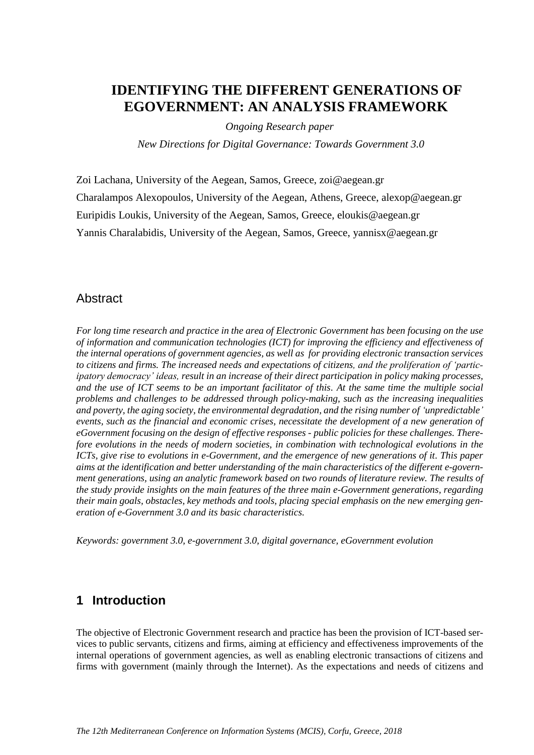## **IDENTIFYING THE DIFFERENT GENERATIONS OF EGOVERNMENT: AN ANALYSIS FRAMEWORK**

*Ongoing Research paper*

*New Directions for Digital Governance: Towards Government 3.0*

Zoi Lachana, University of the Aegean, Samos, Greece, zoi@aegean.gr Charalampos Alexopoulos, University of the Aegean, Athens, Greece, alexop@aegean.gr Euripidis Loukis, University of the Aegean, Samos, Greece, eloukis@aegean.gr Yannis Charalabidis, University of the Aegean, Samos, Greece, yannisx@aegean.gr

#### **Abstract**

*For long time research and practice in the area of Electronic Government has been focusing on the use of information and communication technologies (ICT) for improving the efficiency and effectiveness of the internal operations of government agencies, as well as for providing electronic transaction services to citizens and firms. The increased needs and expectations of citizens, and the proliferation of 'participatory democracy' ideas, result in an increase of their direct participation in policy making processes, and the use of ICT seems to be an important facilitator of this. At the same time the multiple social problems and challenges to be addressed through policy-making, such as the increasing inequalities and poverty, the aging society, the environmental degradation, and the rising number of 'unpredictable' events, such as the financial and economic crises, necessitate the development of a new generation of eGovernment focusing on the design of effective responses - public policies for these challenges. Therefore evolutions in the needs of modern societies, in combination with technological evolutions in the ICTs, give rise to evolutions in e-Government, and the emergence of new generations of it. This paper aims at the identification and better understanding of the main characteristics of the different e-government generations, using an analytic framework based on two rounds of literature review. The results of the study provide insights on the main features of the three main e-Government generations, regarding their main goals, obstacles, key methods and tools, placing special emphasis on the new emerging generation of e-Government 3.0 and its basic characteristics.*

*Keywords: government 3.0, e-government 3.0, digital governance, eGovernment evolution*

#### **1 Introduction**

The objective of Electronic Government research and practice has been the provision of ICT-based services to public servants, citizens and firms, aiming at efficiency and effectiveness improvements of the internal operations of government agencies, as well as enabling electronic transactions of citizens and firms with government (mainly through the Internet). As the expectations and needs of citizens and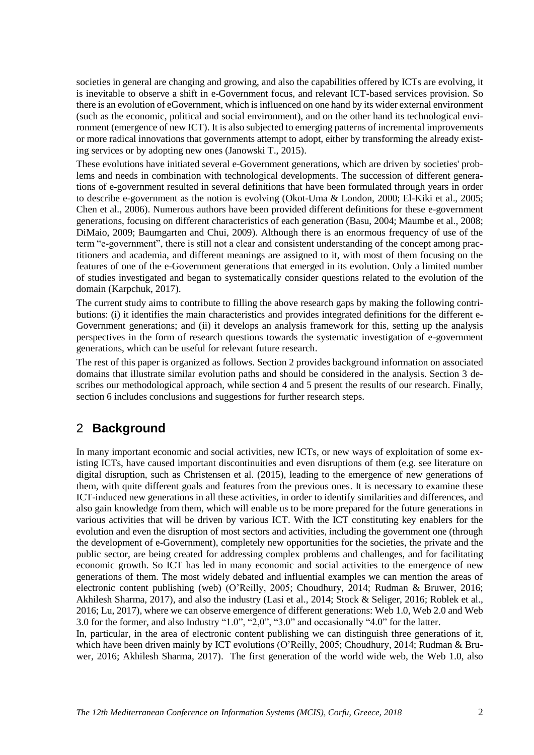societies in general are changing and growing, and also the capabilities offered by ICTs are evolving, it is inevitable to observe a shift in e-Government focus, and relevant ICT-based services provision. So there is an evolution of eGovernment, which is influenced on one hand by its wider external environment (such as the economic, political and social environment), and on the other hand its technological environment (emergence of new ICT). It is also subjected to emerging patterns of incremental improvements or more radical innovations that governments attempt to adopt, either by transforming the already existing services or by adopting new ones (Janowski T., 2015).

These evolutions have initiated several e-Government generations, which are driven by societies' problems and needs in combination with technological developments. The succession of different generations of e-government resulted in several definitions that have been formulated through years in order to describe e-government as the notion is evolving (Okot-Uma & London, 2000; El-Kiki et al., 2005; Chen et al., 2006). Numerous authors have been provided different definitions for these e-government generations, focusing on different characteristics of each generation (Basu, 2004; Maumbe et al., 2008; DiMaio, 2009; Baumgarten and Chui, 2009). Although there is an enormous frequency of use of the term "e-government", there is still not a clear and consistent understanding of the concept among practitioners and academia, and different meanings are assigned to it, with most of them focusing on the features of one of the e-Government generations that emerged in its evolution. Only a limited number of studies investigated and began to systematically consider questions related to the evolution of the domain (Karpchuk, 2017).

The current study aims to contribute to filling the above research gaps by making the following contributions: (i) it identifies the main characteristics and provides integrated definitions for the different e-Government generations; and (ii) it develops an analysis framework for this, setting up the analysis perspectives in the form of research questions towards the systematic investigation of e-government generations, which can be useful for relevant future research.

The rest of this paper is organized as follows. Section 2 provides background information on associated domains that illustrate similar evolution paths and should be considered in the analysis. Section 3 describes our methodological approach, while section 4 and 5 present the results of our research. Finally, section 6 includes conclusions and suggestions for further research steps.

#### 2 **Background**

In many important economic and social activities, new ICTs, or new ways of exploitation of some existing ICTs, have caused important discontinuities and even disruptions of them (e.g. see literature on digital disruption, such as Christensen et al. (2015), leading to the emergence of new generations of them, with quite different goals and features from the previous ones. It is necessary to examine these ICT-induced new generations in all these activities, in order to identify similarities and differences, and also gain knowledge from them, which will enable us to be more prepared for the future generations in various activities that will be driven by various ICT. With the ICT constituting key enablers for the evolution and even the disruption of most sectors and activities, including the government one (through the development of e-Government), completely new opportunities for the societies, the private and the public sector, are being created for addressing complex problems and challenges, and for facilitating economic growth. So ICT has led in many economic and social activities to the emergence of new generations of them. The most widely debated and influential examples we can mention the areas of electronic content publishing (web) (O'Reilly, 2005; Choudhury, 2014; Rudman & Bruwer, 2016; Akhilesh Sharma, 2017), and also the industry (Lasi et al., 2014; Stock & Seliger, 2016; Roblek et al., 2016; Lu, 2017), where we can observe emergence of different generations: Web 1.0, Web 2.0 and Web 3.0 for the former, and also Industry "1.0", "2,0", "3.0" and occasionally "4.0" for the latter.

In, particular, in the area of electronic content publishing we can distinguish three generations of it, which have been driven mainly by ICT evolutions (O'Reilly, 2005; Choudhury, 2014; Rudman & Bruwer, 2016; Akhilesh Sharma, 2017). The first generation of the world wide web, the Web 1.0, also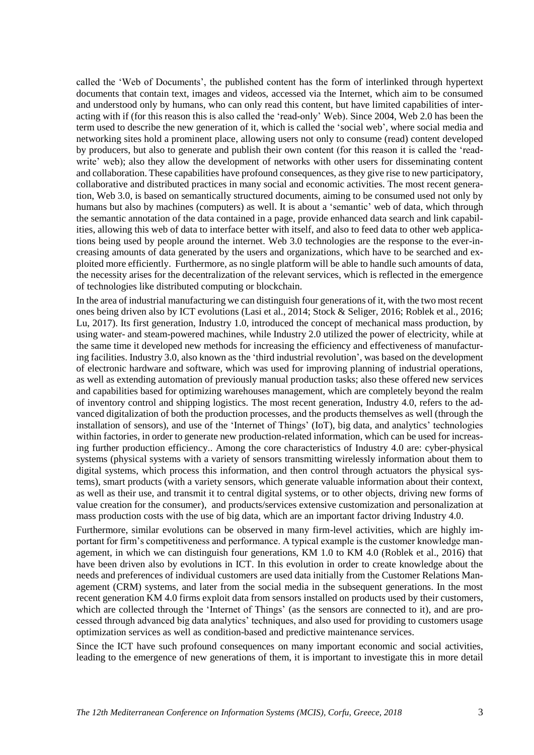called the 'Web of Documents', the published content has the form of interlinked through hypertext documents that contain text, images and videos, accessed via the Internet, which aim to be consumed and understood only by humans, who can only read this content, but have limited capabilities of interacting with if (for this reason this is also called the 'read-only' Web). Since 2004, Web 2.0 has been the term used to describe the new generation of it, which is called the 'social web', where social media and networking sites hold a prominent place, allowing users not only to consume (read) content developed by producers, but also to generate and publish their own content (for this reason it is called the 'readwrite' web); also they allow the development of networks with other users for disseminating content and collaboration. These capabilities have profound consequences, as they give rise to new participatory, collaborative and distributed practices in many social and economic activities. The most recent generation, Web 3.0, is based on semantically structured documents, aiming to be consumed used not only by humans but also by machines (computers) as well. It is about a 'semantic' web of data, which through the semantic annotation of the data contained in a page, provide enhanced data search and link capabilities, allowing this web of data to interface better with itself, and also to feed data to other web applications being used by people around the internet. Web 3.0 technologies are the response to the ever-increasing amounts of data generated by the users and organizations, which have to be searched and exploited more efficiently. Furthermore, as no single platform will be able to handle such amounts of data, the necessity arises for the decentralization of the relevant services, which is reflected in the emergence of technologies like distributed computing or blockchain.

In the area of industrial manufacturing we can distinguish four generations of it, with the two most recent ones being driven also by ICT evolutions (Lasi et al., 2014; Stock & Seliger, 2016; Roblek et al., 2016; Lu, 2017). Its first generation, Industry 1.0, introduced the concept of mechanical mass production, by using water- and steam-powered machines, while Industry 2.0 utilized the power of electricity, while at the same time it developed new methods for increasing the efficiency and effectiveness of manufacturing facilities. Industry 3.0, also known as the 'third industrial revolution', was based on the development of electronic hardware and software, which was used for improving planning of industrial operations, as well as extending automation of previously manual production tasks; also these offered new services and capabilities based for optimizing warehouses management, which are completely beyond the realm of inventory control and shipping logistics. The most recent generation, Industry 4.0, refers to the advanced digitalization of both the production processes, and the products themselves as well (through the installation of sensors), and use of the 'Internet of Things' (IoT), big data, and analytics' technologies within factories, in order to generate new production-related information, which can be used for increasing further production efficiency.. Among the core characteristics of Industry 4.0 are: cyber-physical systems (physical systems with a variety of sensors transmitting wirelessly information about them to digital systems, which process this information, and then control through actuators the physical systems), smart products (with a variety sensors, which generate valuable information about their context, as well as their use, and transmit it to central digital systems, or to other objects, driving new forms of value creation for the consumer), and products/services extensive customization and personalization at mass production costs with the use of big data, which are an important factor driving Industry 4.0.

Furthermore, similar evolutions can be observed in many firm-level activities, which are highly important for firm's competitiveness and performance. A typical example is the customer knowledge management, in which we can distinguish four generations, KM 1.0 to KM 4.0 (Roblek et al., 2016) that have been driven also by evolutions in ICT. In this evolution in order to create knowledge about the needs and preferences of individual customers are used data initially from the Customer Relations Management (CRM) systems, and later from the social media in the subsequent generations. In the most recent generation KM 4.0 firms exploit data from sensors installed on products used by their customers, which are collected through the 'Internet of Things' (as the sensors are connected to it), and are processed through advanced big data analytics' techniques, and also used for providing to customers usage optimization services as well as condition-based and predictive maintenance services.

Since the ICT have such profound consequences on many important economic and social activities, leading to the emergence of new generations of them, it is important to investigate this in more detail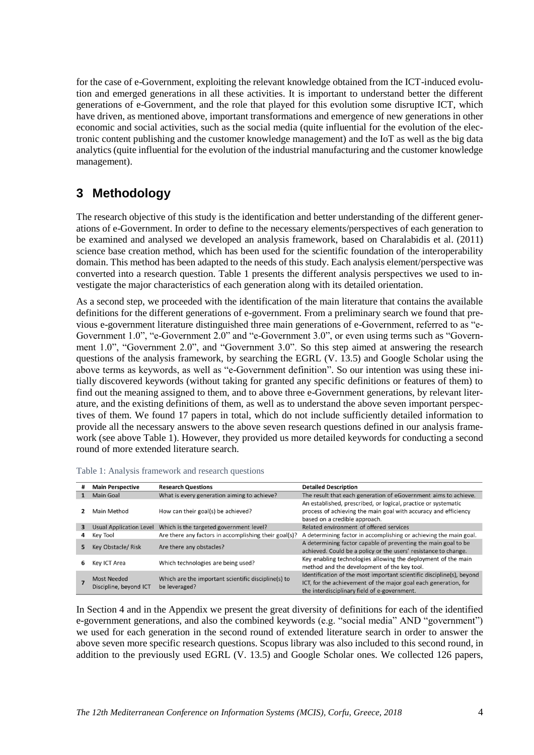for the case of e-Government, exploiting the relevant knowledge obtained from the ICT-induced evolution and emerged generations in all these activities. It is important to understand better the different generations of e-Government, and the role that played for this evolution some disruptive ICT, which have driven, as mentioned above, important transformations and emergence of new generations in other economic and social activities, such as the social media (quite influential for the evolution of the electronic content publishing and the customer knowledge management) and the IoT as well as the big data analytics (quite influential for the evolution of the industrial manufacturing and the customer knowledge management).

## **3 Methodology**

The research objective of this study is the identification and better understanding of the different generations of e-Government. In order to define to the necessary elements/perspectives of each generation to be examined and analysed we developed an analysis framework, based on Charalabidis et al. (2011) science base creation method, which has been used for the scientific foundation of the interoperability domain. This method has been adapted to the needs of this study. Each analysis element/perspective was converted into a research question. Table 1 presents the different analysis perspectives we used to investigate the major characteristics of each generation along with its detailed orientation.

As a second step, we proceeded with the identification of the main literature that contains the available definitions for the different generations of e-government. From a preliminary search we found that previous e-government literature distinguished three main generations of e-Government, referred to as "e-Government 1.0", "e-Government 2.0" and "e-Government 3.0", or even using terms such as "Government 1.0", "Government 2.0", and "Government 3.0". So this step aimed at answering the research questions of the analysis framework, by searching the EGRL (V. 13.5) and Google Scholar using the above terms as keywords, as well as "e-Government definition". So our intention was using these initially discovered keywords (without taking for granted any specific definitions or features of them) to find out the meaning assigned to them, and to above three e-Government generations, by relevant literature, and the existing definitions of them, as well as to understand the above seven important perspectives of them. We found 17 papers in total, which do not include sufficiently detailed information to provide all the necessary answers to the above seven research questions defined in our analysis framework (see above Table 1). However, they provided us more detailed keywords for conducting a second round of more extended literature search.

| # | <b>Main Perspective</b>                      | <b>Research Questions</b>                                            | <b>Detailed Description</b>                                                                                                                                                              |
|---|----------------------------------------------|----------------------------------------------------------------------|------------------------------------------------------------------------------------------------------------------------------------------------------------------------------------------|
|   | Main Goal                                    | What is every generation aiming to achieve?                          | The result that each generation of eGovernment aims to achieve.                                                                                                                          |
|   | Main Method                                  | How can their goal(s) be achieved?                                   | An established, prescribed, or logical, practice or systematic<br>process of achieving the main goal with accuracy and efficiency<br>based on a credible approach.                       |
| 3 | <b>Usual Application Level</b>               | Which is the targeted government level?                              | Related environment of offered services                                                                                                                                                  |
|   | Key Tool                                     | Are there any factors in accomplishing their goal(s)?                | A determining factor in accomplishing or achieving the main goal.                                                                                                                        |
| 5 | <b>Key Obstacle/Risk</b>                     | Are there any obstacles?                                             | A determining factor capable of preventing the main goal to be<br>achieved. Could be a policy or the users' resistance to change.                                                        |
| 6 | Key ICT Area                                 | Which technologies are being used?                                   | Key enabling technologies allowing the deployment of the main<br>method and the development of the key tool.                                                                             |
|   | <b>Most Needed</b><br>Discipline, beyond ICT | Which are the important scientific discipline(s) to<br>be leveraged? | Identification of the most important scientific discipline(s), beyond<br>ICT, for the achievement of the major goal each generation, for<br>the interdisciplinary field of e-government. |

Table 1: Analysis framework and research questions

In Section 4 and in the Appendix we present the great diversity of definitions for each of the identified e-government generations, and also the combined keywords (e.g. "social media" AND "government") we used for each generation in the second round of extended literature search in order to answer the above seven more specific research questions. Scopus library was also included to this second round, in addition to the previously used EGRL (V. 13.5) and Google Scholar ones. We collected 126 papers,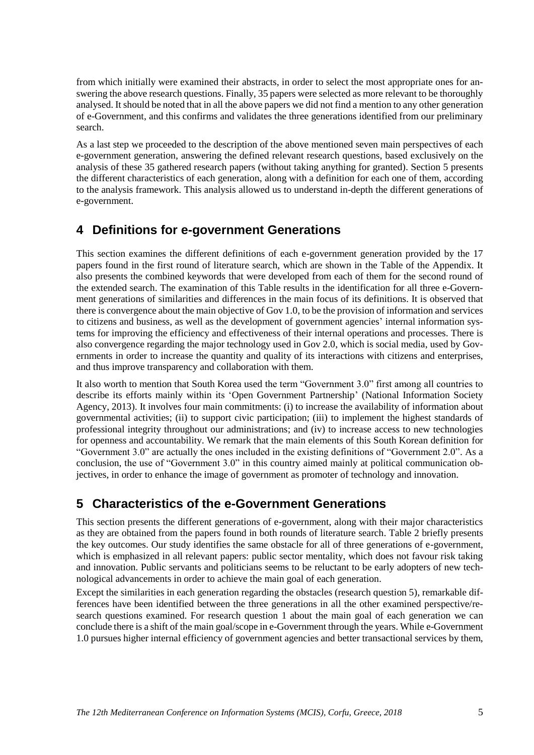from which initially were examined their abstracts, in order to select the most appropriate ones for answering the above research questions. Finally, 35 papers were selected as more relevant to be thoroughly analysed. It should be noted that in all the above papers we did not find a mention to any other generation of e-Government, and this confirms and validates the three generations identified from our preliminary search.

As a last step we proceeded to the description of the above mentioned seven main perspectives of each e-government generation, answering the defined relevant research questions, based exclusively on the analysis of these 35 gathered research papers (without taking anything for granted). Section 5 presents the different characteristics of each generation, along with a definition for each one of them, according to the analysis framework. This analysis allowed us to understand in-depth the different generations of e-government.

### **4 Definitions for e-government Generations**

This section examines the different definitions of each e-government generation provided by the 17 papers found in the first round of literature search, which are shown in the Table of the Appendix. It also presents the combined keywords that were developed from each of them for the second round of the extended search. The examination of this Table results in the identification for all three e-Government generations of similarities and differences in the main focus of its definitions. It is observed that there is convergence about the main objective of Gov 1.0, to be the provision of information and services to citizens and business, as well as the development of government agencies' internal information systems for improving the efficiency and effectiveness of their internal operations and processes. There is also convergence regarding the major technology used in Gov 2.0, which is social media, used by Governments in order to increase the quantity and quality of its interactions with citizens and enterprises, and thus improve transparency and collaboration with them.

It also worth to mention that South Korea used the term "Government 3.0" first among all countries to describe its efforts mainly within its 'Open Government Partnership' (National Information Society Agency, 2013). It involves four main commitments: (i) to increase the availability of information about governmental activities; (ii) to support civic participation; (iii) to implement the highest standards of professional integrity throughout our administrations; and (iv) to increase access to new technologies for openness and accountability. We remark that the main elements of this South Korean definition for "Government 3.0" are actually the ones included in the existing definitions of "Government 2.0". As a conclusion, the use of "Government 3.0" in this country aimed mainly at political communication objectives, in order to enhance the image of government as promoter of technology and innovation.

## **5 Characteristics of the e-Government Generations**

This section presents the different generations of e-government, along with their major characteristics as they are obtained from the papers found in both rounds of literature search. Table 2 briefly presents the key outcomes. Our study identifies the same obstacle for all of three generations of e-government, which is emphasized in all relevant papers: public sector mentality, which does not favour risk taking and innovation. Public servants and politicians seems to be reluctant to be early adopters of new technological advancements in order to achieve the main goal of each generation.

Except the similarities in each generation regarding the obstacles (research question 5), remarkable differences have been identified between the three generations in all the other examined perspective/research questions examined. For research question 1 about the main goal of each generation we can conclude there is a shift of the main goal/scope in e-Government through the years. While e-Government 1.0 pursues higher internal efficiency of government agencies and better transactional services by them,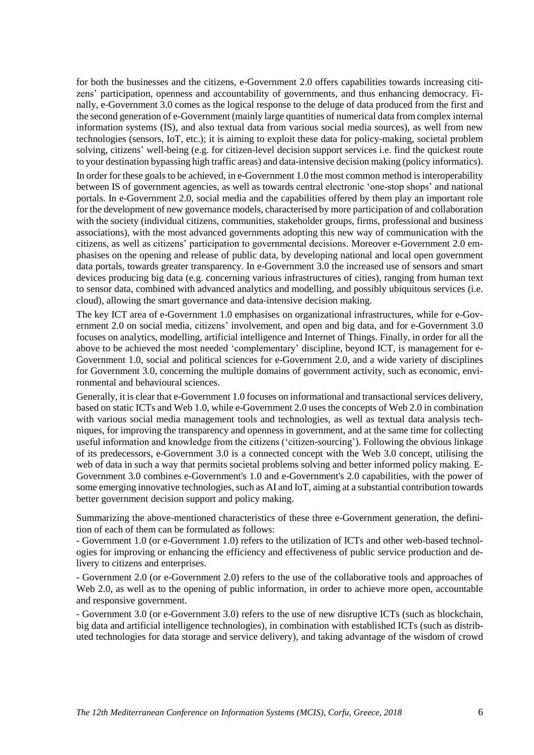for both the businesses and the citizens, e-Government 2.0 offers capabilities towards increasing citizens' participation, openness and accountability of governments, and thus enhancing democracy. Finally, e-Government 3.0 comes as the logical response to the deluge of data produced from the first and the second generation of e-Government (mainly large quantities of numerical data from complex internal information systems (IS), and also textual data from various social media sources), as well from new technologies (sensors, IoT, etc.); it is aiming to exploit these data for policy-making, societal problem solving, citizens' well-being (e.g. for citizen-level decision support services i.e. find the quickest route to your destination bypassing high traffic areas) and data-intensive decision making (policy informatics).

In order for these goals to be achieved, in e-Government 1.0 the most common method is interoperability between IS of government agencies, as well as towards central electronic 'one-stop shops' and national portals. In e-Government 2.0, social media and the capabilities offered by them play an important role for the development of new governance models, characterised by more participation of and collaboration with the society (individual citizens, communities, stakeholder groups, firms, professional and business associations), with the most advanced governments adopting this new way of communication with the citizens, as well as citizens' participation to governmental decisions. Moreover e-Government 2.0 emphasises on the opening and release of public data, by developing national and local open government data portals, towards greater transparency. In e-Government 3.0 the increased use of sensors and smart devices producing big data (e.g. concerning various infrastructures of cities), ranging from human text to sensor data, combined with advanced analytics and modelling, and possibly ubiquitous services (i.e. cloud), allowing the smart governance and data-intensive decision making.

The key ICT area of e-Government 1.0 emphasises on organizational infrastructures, while for e-Government 2.0 on social media, citizens' involvement, and open and big data, and for e-Government 3.0 focuses on analytics, modelling, artificial intelligence and Internet of Things. Finally, in order for all the above to be achieved the most needed 'complementary' discipline, beyond ICT, is management for e-Government 1.0, social and political sciences for e-Government 2.0, and a wide variety of disciplines for Government 3.0, concerning the multiple domains of government activity, such as economic, environmental and behavioural sciences.

Generally, it is clear that e-Government 1.0 focuses on informational and transactional services delivery, based on static ICTs and Web 1.0, while e-Government 2.0 uses the concepts of Web 2.0 in combination with various social media management tools and technologies, as well as textual data analysis techniques, for improving the transparency and openness in government, and at the same time for collecting useful information and knowledge from the citizens ('citizen-sourcing'). Following the obvious linkage of its predecessors, e-Government 3.0 is a connected concept with the Web 3.0 concept, utilising the web of data in such a way that permits societal problems solving and better informed policy making. E-Government 3.0 combines e-Government's 1.0 and e-Government's 2.0 capabilities, with the power of some emerging innovative technologies, such as AI and IoT, aiming at a substantial contribution towards better government decision support and policy making.

Summarizing the above-mentioned characteristics of these three e-Government generation, the definition of each of them can be formulated as follows:

- Government 1.0 (or e-Government 1.0) refers to the utilization of ICTs and other web-based technologies for improving or enhancing the efficiency and effectiveness of public service production and delivery to citizens and enterprises.

- Government 2.0 (or e-Government 2.0) refers to the use of the collaborative tools and approaches of Web 2.0, as well as to the opening of public information, in order to achieve more open, accountable and responsive government.

- Government 3.0 (or e-Government 3.0) refers to the use of new disruptive ICTs (such as blockchain, big data and artificial intelligence technologies), in combination with established ICTs (such as distributed technologies for data storage and service delivery), and taking advantage of the wisdom of crowd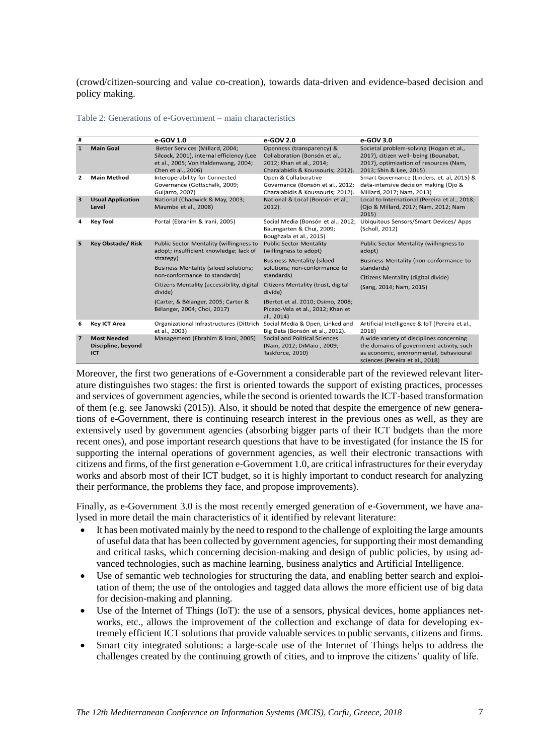(crowd/citizen-sourcing and value co-creation), towards data-driven and evidence-based decision and policy making.

| #                       |                                                 | e-GOV 1.0                                                                                                                                | e-GOV 2.0                                                                                                                   | e-GOV 3.0                                                                                                                                                          |
|-------------------------|-------------------------------------------------|------------------------------------------------------------------------------------------------------------------------------------------|-----------------------------------------------------------------------------------------------------------------------------|--------------------------------------------------------------------------------------------------------------------------------------------------------------------|
| $\mathbf{1}$            | <b>Main Goal</b>                                | Better Services (Millard, 2004;<br>Silcock, 2001), internal efficiency (Lee<br>et al., 2005; Von Haldenwang, 2004;<br>Chen et al., 2006) | Openness (transparency) &<br>Collaboration (Bonsón et al.,<br>2012; Khan et al., 2014;<br>Charalabidis & Koussouris; 2012). | Societal problem-solving (Hogan et al.,<br>2017), citizen well- being (Bounabat,<br>2017), optimization of resources (Nam,<br>2013; Shin & Lee, 2015)              |
| 2                       | <b>Main Method</b>                              | Interoperability for Connected<br>Governance (Gottschalk, 2009;<br>Guijarro, 2007)                                                       | Open & Collaborative<br>Governance (Bonsón et al., 2012;<br>Charalabidis & Koussouris; 2012).                               | Smart Governance (Linders, et. al, 2015) &<br>data-intensive decision making (Ojo &<br>Millard, 2017; Nam, 2013)                                                   |
| $\overline{\mathbf{3}}$ | <b>Usual Application</b><br>Level               | National (Chadwick & May, 2003;<br>Maumbe et al., 2008)                                                                                  | National & Local (Bonsón et al.,<br>$2012$ ).                                                                               | Local to International (Pereira et al., 2018;<br>(Ojo & Millard, 2017; Nam, 2012; Nam<br>2015)                                                                     |
| 4                       | <b>Key Tool</b>                                 | Portal (Ebrahim & Irani, 2005)                                                                                                           | Social Media (Bonsón et al., 2012;<br>Baumgarten & Chui, 2009;<br>Boughzala et al., 2015)                                   | Ubiquitous Sensors/Smart Devices/ Apps<br>(Scholl, 2012)                                                                                                           |
| 5                       | <b>Key Obstacle/ Risk</b>                       | Public Sector Mentality (willingness to<br>adopt; insufficient knowledge; lack of<br>strategy)                                           | <b>Public Sector Mentality</b><br>(willingness to adopt)                                                                    | Public Sector Mentality (willingness to<br>adopt)                                                                                                                  |
|                         |                                                 |                                                                                                                                          | <b>Business Mentality (siloed</b>                                                                                           | Business Mentality (non-conformance to                                                                                                                             |
|                         |                                                 | <b>Business Mentality (siloed solutions;</b><br>non-conformance to standards)                                                            | solutions; non-conformance to<br>standards)                                                                                 | standards)                                                                                                                                                         |
|                         |                                                 |                                                                                                                                          |                                                                                                                             | Citizens Mentality (digital divide)                                                                                                                                |
|                         |                                                 | Citizens Mentality (accessibility, digital<br>divide)                                                                                    | Citizens Mentality (trust, digital<br>divide)                                                                               | (Sang, 2014; Nam, 2015)                                                                                                                                            |
|                         |                                                 | (Carter, & Bélanger, 2005; Carter &<br>Bélanger, 2004; Choi, 2017)                                                                       | (Bertot et al. 2010; Osimo, 2008;<br>Picazo-Vela et al., 2012; Khan et<br>al., 2014)                                        |                                                                                                                                                                    |
| 6                       | <b>Key ICT Area</b>                             | Organizational Infrastructures (Dittrich<br>et al., 2003)                                                                                | Social Media & Open, Linked and<br>Big Data (Bonsón et al., 2012).                                                          | Artificial Intelligence & IoT (Pereira et al.,<br>2018)                                                                                                            |
| $\overline{7}$          | <b>Most Needed</b><br>Discipline, beyond<br>ICT | Management (Ebrahim & Irani, 2005)                                                                                                       | Social and Political Sciences<br>(Nam, 2012; DiMaio, 2009;<br>Taskforce, 2010)                                              | A wide variety of disciplines concerning<br>the domains of government activity, such<br>as economic, environmental, behavioural<br>sciences (Pereira et al., 2018) |

Table 2: Generations of e-Government – main characteristics

Moreover, the first two generations of e-Government a considerable part of the reviewed relevant literature distinguishes two stages: the first is oriented towards the support of existing practices, processes and services of government agencies, while the second is oriented towards the ICT-based transformation of them (e.g. see Janowski (2015)). Also, it should be noted that despite the emergence of new generations of e-Government, there is continuing research interest in the previous ones as well, as they are extensively used by government agencies (absorbing bigger parts of their ICT budgets than the more recent ones), and pose important research questions that have to be investigated (for instance the IS for supporting the internal operations of government agencies, as well their electronic transactions with citizens and firms, of the first generation e-Government 1.0, are critical infrastructures for their everyday works and absorb most of their ICT budget, so it is highly important to conduct research for analyzing their performance, the problems they face, and propose improvements).

Finally, as e-Government 3.0 is the most recently emerged generation of e-Government, we have analysed in more detail the main characteristics of it identified by relevant literature:

- It has been motivated mainly by the need to respond to the challenge of exploiting the large amounts of useful data that has been collected by government agencies, for supporting their most demanding and critical tasks, which concerning decision-making and design of public policies, by using advanced technologies, such as machine learning, business analytics and Artificial Intelligence.
- Use of semantic web technologies for structuring the data, and enabling better search and exploitation of them; the use of the ontologies and tagged data allows the more efficient use of big data for decision-making and planning.
- Use of the Internet of Things (IoT): the use of a sensors, physical devices, home appliances networks, etc., allows the improvement of the collection and exchange of data for developing extremely efficient ICT solutions that provide valuable services to public servants, citizens and firms.
- Smart city integrated solutions: a large-scale use of the Internet of Things helps to address the challenges created by the continuing growth of cities, and to improve the citizens' quality of life.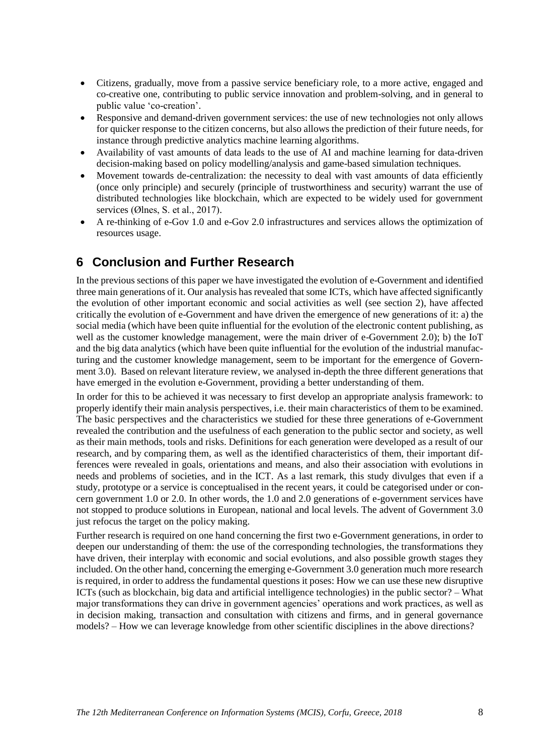- Citizens, gradually, move from a passive service beneficiary role, to a more active, engaged and co-creative one, contributing to public service innovation and problem-solving, and in general to public value 'co-creation'.
- Responsive and demand-driven government services: the use of new technologies not only allows for quicker response to the citizen concerns, but also allows the prediction of their future needs, for instance through predictive analytics machine learning algorithms.
- Availability of vast amounts of data leads to the use of AI and machine learning for data-driven decision-making based on policy modelling/analysis and game-based simulation techniques.
- Movement towards de-centralization: the necessity to deal with vast amounts of data efficiently (once only principle) and securely (principle of trustworthiness and security) warrant the use of distributed technologies like blockchain, which are expected to be widely used for government services (Ølnes, S. et al., 2017).
- A re-thinking of e-Gov 1.0 and e-Gov 2.0 infrastructures and services allows the optimization of resources usage.

#### **6 Conclusion and Further Research**

In the previous sections of this paper we have investigated the evolution of e-Government and identified three main generations of it. Our analysis has revealed that some ICTs, which have affected significantly the evolution of other important economic and social activities as well (see section 2), have affected critically the evolution of e-Government and have driven the emergence of new generations of it: a) the social media (which have been quite influential for the evolution of the electronic content publishing, as well as the customer knowledge management, were the main driver of e-Government 2.0); b) the IoT and the big data analytics (which have been quite influential for the evolution of the industrial manufacturing and the customer knowledge management, seem to be important for the emergence of Government 3.0). Based on relevant literature review, we analysed in-depth the three different generations that have emerged in the evolution e-Government, providing a better understanding of them.

In order for this to be achieved it was necessary to first develop an appropriate analysis framework: to properly identify their main analysis perspectives, i.e. their main characteristics of them to be examined. The basic perspectives and the characteristics we studied for these three generations of e-Government revealed the contribution and the usefulness of each generation to the public sector and society, as well as their main methods, tools and risks. Definitions for each generation were developed as a result of our research, and by comparing them, as well as the identified characteristics of them, their important differences were revealed in goals, orientations and means, and also their association with evolutions in needs and problems of societies, and in the ICT. As a last remark, this study divulges that even if a study, prototype or a service is conceptualised in the recent years, it could be categorised under or concern government 1.0 or 2.0. In other words, the 1.0 and 2.0 generations of e-government services have not stopped to produce solutions in European, national and local levels. The advent of Government 3.0 just refocus the target on the policy making.

Further research is required on one hand concerning the first two e-Government generations, in order to deepen our understanding of them: the use of the corresponding technologies, the transformations they have driven, their interplay with economic and social evolutions, and also possible growth stages they included. On the other hand, concerning the emerging e-Government 3.0 generation much more research is required, in order to address the fundamental questions it poses: How we can use these new disruptive ICTs (such as blockchain, big data and artificial intelligence technologies) in the public sector? – What major transformations they can drive in government agencies' operations and work practices, as well as in decision making, transaction and consultation with citizens and firms, and in general governance models? – How we can leverage knowledge from other scientific disciplines in the above directions?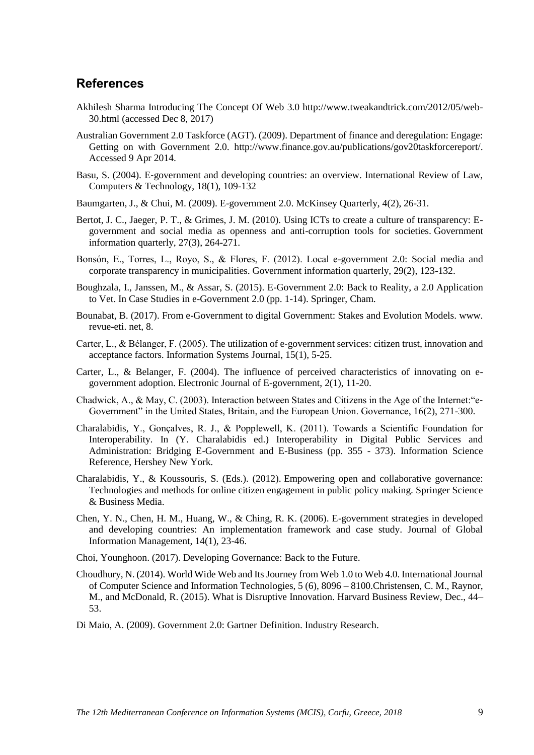#### **References**

- Akhilesh Sharma Introducing The Concept Of Web 3.0 http://www.tweakandtrick.com/2012/05/web-30.html (accessed Dec 8, 2017)
- Australian Government 2.0 Taskforce (AGT). (2009). Department of finance and deregulation: Engage: Getting on with Government 2.0. http://www.finance.gov.au/publications/gov20taskforcereport/. Accessed 9 Apr 2014.
- Basu, S. (2004). E-government and developing countries: an overview. International Review of Law, Computers & Technology, 18(1), 109-132
- Baumgarten, J., & Chui, M. (2009). E-government 2.0. McKinsey Quarterly, 4(2), 26-31.
- Bertot, J. C., Jaeger, P. T., & Grimes, J. M. (2010). Using ICTs to create a culture of transparency: Egovernment and social media as openness and anti-corruption tools for societies. Government information quarterly, 27(3), 264-271.
- Bonsón, E., Torres, L., Royo, S., & Flores, F. (2012). Local e-government 2.0: Social media and corporate transparency in municipalities. Government information quarterly, 29(2), 123-132.
- Boughzala, I., Janssen, M., & Assar, S. (2015). E-Government 2.0: Back to Reality, a 2.0 Application to Vet. In Case Studies in e-Government 2.0 (pp. 1-14). Springer, Cham.
- Bounabat, B. (2017). From e-Government to digital Government: Stakes and Evolution Models. www. revue-eti. net, 8.
- Carter, L., & Bélanger, F. (2005). The utilization of e‐government services: citizen trust, innovation and acceptance factors. Information Systems Journal, 15(1), 5-25.
- Carter, L., & Belanger, F. (2004). The influence of perceived characteristics of innovating on egovernment adoption. Electronic Journal of E-government, 2(1), 11-20.
- Chadwick, A., & May, C. (2003). Interaction between States and Citizens in the Age of the Internet:"e‐ Government" in the United States, Britain, and the European Union. Governance, 16(2), 271-300.
- Charalabidis, Y., Gonçalves, R. J., & Popplewell, K. (2011). Towards a Scientific Foundation for Interoperability. In (Y. Charalabidis ed.) Interoperability in Digital Public Services and Administration: Bridging E-Government and E-Business (pp. 355 - 373). Information Science Reference, Hershey New York.
- Charalabidis, Y., & Koussouris, S. (Eds.). (2012). Empowering open and collaborative governance: Technologies and methods for online citizen engagement in public policy making. Springer Science & Business Media.
- Chen, Y. N., Chen, H. M., Huang, W., & Ching, R. K. (2006). E-government strategies in developed and developing countries: An implementation framework and case study. Journal of Global Information Management, 14(1), 23-46.
- Choi, Younghoon. (2017). Developing Governance: Back to the Future.
- Choudhury, N. (2014). World Wide Web and Its Journey from Web 1.0 to Web 4.0. International Journal of Computer Science and Information Technologies, 5 (6), 8096 – 8100.Christensen, C. M., Raynor, M., and McDonald, R. (2015). What is Disruptive Innovation. Harvard Business Review, Dec., 44– 53.
- Di Maio, A. (2009). Government 2.0: Gartner Definition. Industry Research.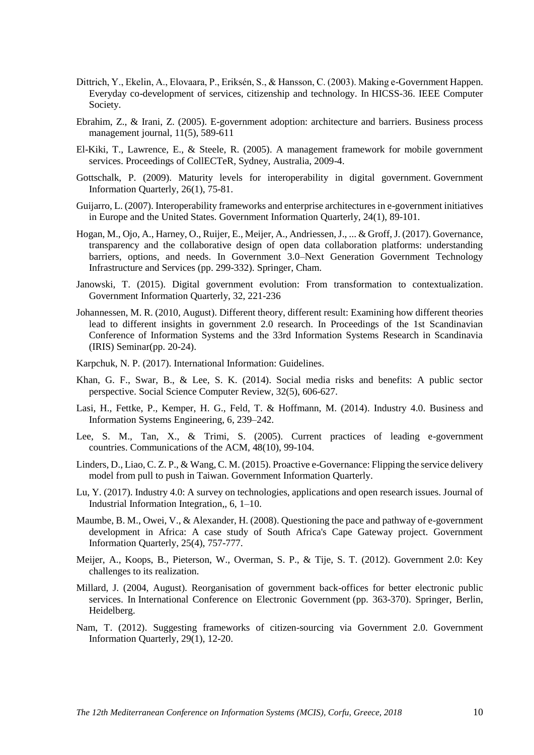- Dittrich, Y., Ekelin, A., Elovaara, P., Eriksén, S., & Hansson, C. (2003). Making e-Government Happen. Everyday co-development of services, citizenship and technology. In HICSS-36. IEEE Computer Society.
- Ebrahim, Z., & Irani, Z. (2005). E-government adoption: architecture and barriers. Business process management journal, 11(5), 589-611
- El-Kiki, T., Lawrence, E., & Steele, R. (2005). A management framework for mobile government services. Proceedings of CollECTeR, Sydney, Australia, 2009-4.
- Gottschalk, P. (2009). Maturity levels for interoperability in digital government. Government Information Quarterly, 26(1), 75-81.
- Guijarro, L. (2007). Interoperability frameworks and enterprise architectures in e-government initiatives in Europe and the United States. Government Information Quarterly, 24(1), 89-101.
- Hogan, M., Ojo, A., Harney, O., Ruijer, E., Meijer, A., Andriessen, J., ... & Groff, J. (2017). Governance, transparency and the collaborative design of open data collaboration platforms: understanding barriers, options, and needs. In Government 3.0–Next Generation Government Technology Infrastructure and Services (pp. 299-332). Springer, Cham.
- Janowski, T. (2015). Digital government evolution: From transformation to contextualization. Government Information Quarterly, 32, 221-236
- Johannessen, M. R. (2010, August). Different theory, different result: Examining how different theories lead to different insights in government 2.0 research. In Proceedings of the 1st Scandinavian Conference of Information Systems and the 33rd Information Systems Research in Scandinavia (IRIS) Seminar(pp. 20-24).
- Karpchuk, N. P. (2017). International Information: Guidelines.
- Khan, G. F., Swar, B., & Lee, S. K. (2014). Social media risks and benefits: A public sector perspective. Social Science Computer Review, 32(5), 606-627.
- Lasi, H., Fettke, P., Kemper, H. G., Feld, T. & Hoffmann, M. (2014). Industry 4.0. Business and Information Systems Engineering, 6, 239–242.
- Lee, S. M., Tan, X., & Trimi, S. (2005). Current practices of leading e-government countries. Communications of the ACM, 48(10), 99-104.
- Linders, D., Liao, C. Z. P., & Wang, C. M. (2015). Proactive e-Governance: Flipping the service delivery model from pull to push in Taiwan. Government Information Quarterly.
- Lu, Y. (2017). Industry 4.0: A survey on technologies, applications and open research issues. Journal of Industrial Information Integration,, 6, 1–10.
- Maumbe, B. M., Owei, V., & Alexander, H. (2008). Questioning the pace and pathway of e-government development in Africa: A case study of South Africa's Cape Gateway project. Government Information Quarterly, 25(4), 757-777.
- Meijer, A., Koops, B., Pieterson, W., Overman, S. P., & Tije, S. T. (2012). Government 2.0: Key challenges to its realization.
- Millard, J. (2004, August). Reorganisation of government back-offices for better electronic public services. In International Conference on Electronic Government (pp. 363-370). Springer, Berlin, Heidelberg.
- Nam, T. (2012). Suggesting frameworks of citizen-sourcing via Government 2.0. Government Information Quarterly, 29(1), 12-20.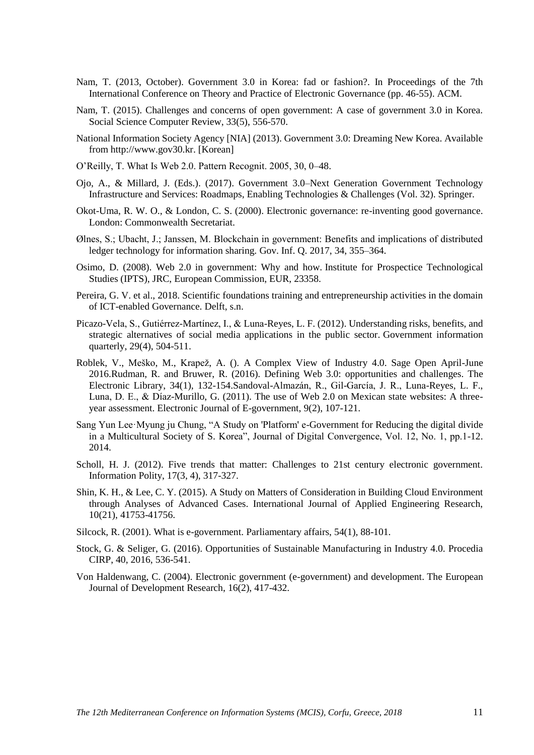- Nam, T. (2013, October). Government 3.0 in Korea: fad or fashion?. In Proceedings of the 7th International Conference on Theory and Practice of Electronic Governance (pp. 46-55). ACM.
- Nam, T. (2015). Challenges and concerns of open government: A case of government 3.0 in Korea. Social Science Computer Review, 33(5), 556-570.
- National Information Society Agency [NIA] (2013). Government 3.0: Dreaming New Korea. Available from http://www.gov30.kr. [Korean]
- O'Reilly, T. What Is Web 2.0. Pattern Recognit. 2005, 30, 0–48.
- Ojo, A., & Millard, J. (Eds.). (2017). Government 3.0–Next Generation Government Technology Infrastructure and Services: Roadmaps, Enabling Technologies & Challenges (Vol. 32). Springer.
- Okot-Uma, R. W. O., & London, C. S. (2000). Electronic governance: re-inventing good governance. London: Commonwealth Secretariat.
- Ølnes, S.; Ubacht, J.; Janssen, M. Blockchain in government: Benefits and implications of distributed ledger technology for information sharing. Gov. Inf. Q. 2017, 34, 355–364.
- Osimo, D. (2008). Web 2.0 in government: Why and how. Institute for Prospectice Technological Studies (IPTS), JRC, European Commission, EUR, 23358.
- Pereira, G. V. et al., 2018. Scientific foundations training and entrepreneurship activities in the domain of ICT-enabled Governance. Delft, s.n.
- Picazo-Vela, S., Gutiérrez-Martínez, I., & Luna-Reyes, L. F. (2012). Understanding risks, benefits, and strategic alternatives of social media applications in the public sector. Government information quarterly, 29(4), 504-511.
- Roblek, V., Meško, M., Krapež, A. (). A Complex View of Industry 4.0. Sage Open April-June 2016.Rudman, R. and Bruwer, R. (2016). Defining Web 3.0: opportunities and challenges. The Electronic Library, 34(1), 132-154.Sandoval-Almazán, R., Gil-García, J. R., Luna-Reyes, L. F., Luna, D. E., & Díaz-Murillo, G. (2011). The use of Web 2.0 on Mexican state websites: A threeyear assessment. Electronic Journal of E-government, 9(2), 107-121.
- Sang Yun Lee·Myung ju Chung, "A Study on 'Platform' e-Government for Reducing the digital divide in a Multicultural Society of S. Korea", Journal of Digital Convergence, Vol. 12, No. 1, pp.1-12. 2014.
- Scholl, H. J. (2012). Five trends that matter: Challenges to 21st century electronic government. Information Polity, 17(3, 4), 317-327.
- Shin, K. H., & Lee, C. Y. (2015). A Study on Matters of Consideration in Building Cloud Environment through Analyses of Advanced Cases. International Journal of Applied Engineering Research, 10(21), 41753-41756.
- Silcock, R. (2001). What is e-government. Parliamentary affairs, 54(1), 88-101.
- Stock, G. & Seliger, G. (2016). Opportunities of Sustainable Manufacturing in Industry 4.0. Procedia CIRP, 40, 2016, 536-541.
- Von Haldenwang, C. (2004). Electronic government (e-government) and development. The European Journal of Development Research, 16(2), 417-432.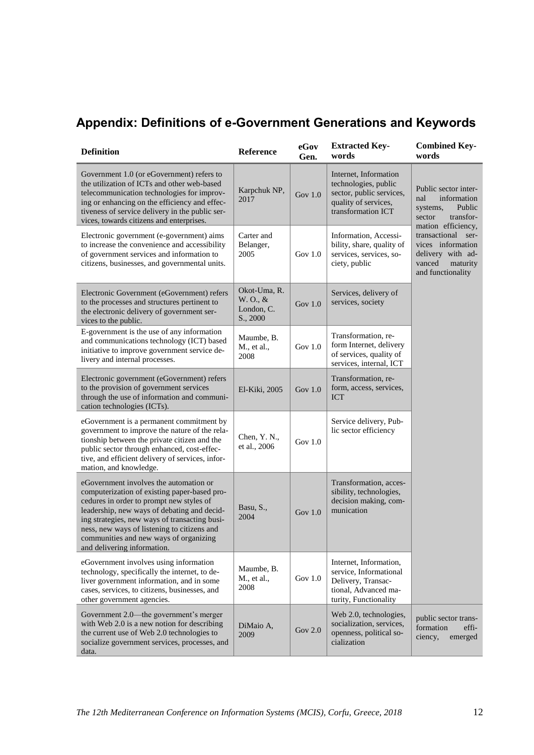# **Appendix: Definitions of e-Government Generations and Keywords**

| <b>Definition</b>                                                                                                                                                                                                                                                                                                                                          | Reference                                          | eGov<br>Gen. | <b>Extracted Key-</b><br>words                                                                                          | <b>Combined Key-</b><br>words                                                                                 |  |
|------------------------------------------------------------------------------------------------------------------------------------------------------------------------------------------------------------------------------------------------------------------------------------------------------------------------------------------------------------|----------------------------------------------------|--------------|-------------------------------------------------------------------------------------------------------------------------|---------------------------------------------------------------------------------------------------------------|--|
| Government 1.0 (or eGovernment) refers to<br>the utilization of ICTs and other web-based<br>telecommunication technologies for improv-<br>ing or enhancing on the efficiency and effec-<br>tiveness of service delivery in the public ser-<br>vices, towards citizens and enterprises.                                                                     | Karpchuk NP,<br>2017                               | Gov $1.0$    | Internet, Information<br>technologies, public<br>sector, public services,<br>quality of services,<br>transformation ICT | Public sector inter-<br>nal<br>information<br>Public<br>systems,<br>transfor-<br>sector<br>mation efficiency, |  |
| Electronic government (e-government) aims<br>to increase the convenience and accessibility<br>of government services and information to<br>citizens, businesses, and governmental units.                                                                                                                                                                   | Carter and<br>Belanger,<br>2005                    | Gov $1.0$    | Information, Accessi-<br>bility, share, quality of<br>services, services, so-<br>ciety, public                          | transactional ser-<br>vices information<br>delivery with ad-<br>vanced<br>maturity<br>and functionality       |  |
| Electronic Government (eGovernment) refers<br>to the processes and structures pertinent to<br>the electronic delivery of government ser-<br>vices to the public.                                                                                                                                                                                           | Okot-Uma, R.<br>W. O., &<br>London, C.<br>S., 2000 | Gov $1.0$    | Services, delivery of<br>services, society                                                                              |                                                                                                               |  |
| E-government is the use of any information<br>and communications technology (ICT) based<br>initiative to improve government service de-<br>livery and internal processes.                                                                                                                                                                                  | Maumbe, B.<br>M., et al.,<br>2008                  | Gov $1.0$    | Transformation, re-<br>form Internet, delivery<br>of services, quality of<br>services, internal, ICT                    |                                                                                                               |  |
| Electronic government (eGovernment) refers<br>to the provision of government services<br>through the use of information and communi-<br>cation technologies (ICTs).                                                                                                                                                                                        | El-Kiki, 2005                                      | Gov $1.0$    | Transformation, re-<br>form, access, services,<br><b>ICT</b>                                                            |                                                                                                               |  |
| eGovernment is a permanent commitment by<br>government to improve the nature of the rela-<br>tionship between the private citizen and the<br>public sector through enhanced, cost-effec-<br>tive, and efficient delivery of services, infor-<br>mation, and knowledge.                                                                                     | Chen, Y.N.,<br>et al., 2006                        | Gov $1.0$    | Service delivery, Pub-<br>lic sector efficiency                                                                         |                                                                                                               |  |
| eGovernment involves the automation or<br>computerization of existing paper-based pro-<br>cedures in order to prompt new styles of<br>leadership, new ways of debating and decid-<br>ing strategies, new ways of transacting busi-<br>ness, new ways of listening to citizens and<br>communities and new ways of organizing<br>and delivering information. | Basu, S.,<br>2004                                  | Gov $1.0$    | Transformation, acces-<br>sibility, technologies,<br>decision making, com-<br>munication                                |                                                                                                               |  |
| eGovernment involves using information<br>technology, specifically the internet, to de-<br>liver government information, and in some<br>cases, services, to citizens, businesses, and<br>other government agencies.                                                                                                                                        | Maumbe, B.<br>M., et al.,<br>2008                  | Gov $1.0$    | Internet, Information,<br>service, Informational<br>Delivery, Transac-<br>tional, Advanced ma-<br>turity, Functionality |                                                                                                               |  |
| Government 2.0—the government's merger<br>with Web 2.0 is a new notion for describing<br>the current use of Web 2.0 technologies to<br>socialize government services, processes, and<br>data.                                                                                                                                                              | DiMaio A,<br>2009                                  | Gov $2.0$    | Web 2.0, technologies,<br>socialization, services,<br>openness, political so-<br>cialization                            | public sector trans-<br>formation<br>effi-<br>emerged<br>ciency,                                              |  |